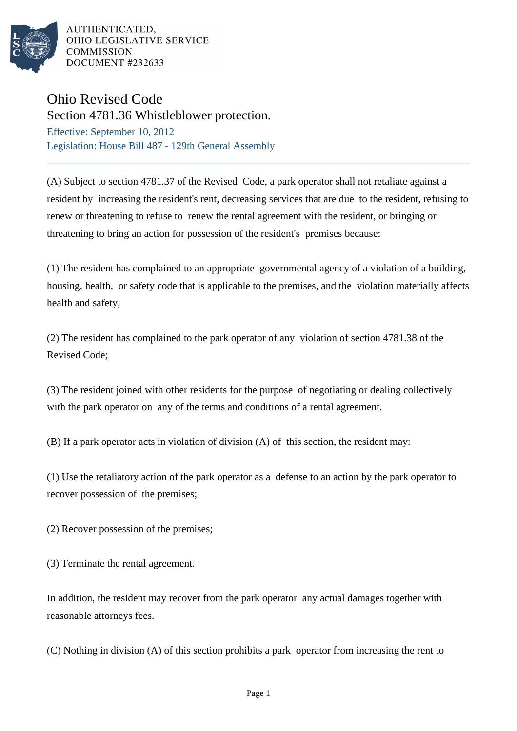

AUTHENTICATED. OHIO LEGISLATIVE SERVICE **COMMISSION** DOCUMENT #232633

## Ohio Revised Code

Section 4781.36 Whistleblower protection. Effective: September 10, 2012 Legislation: House Bill 487 - 129th General Assembly

(A) Subject to section 4781.37 of the Revised Code, a park operator shall not retaliate against a resident by increasing the resident's rent, decreasing services that are due to the resident, refusing to renew or threatening to refuse to renew the rental agreement with the resident, or bringing or threatening to bring an action for possession of the resident's premises because:

(1) The resident has complained to an appropriate governmental agency of a violation of a building, housing, health, or safety code that is applicable to the premises, and the violation materially affects health and safety;

(2) The resident has complained to the park operator of any violation of section 4781.38 of the Revised Code;

(3) The resident joined with other residents for the purpose of negotiating or dealing collectively with the park operator on any of the terms and conditions of a rental agreement.

(B) If a park operator acts in violation of division (A) of this section, the resident may:

(1) Use the retaliatory action of the park operator as a defense to an action by the park operator to recover possession of the premises;

(2) Recover possession of the premises;

(3) Terminate the rental agreement.

In addition, the resident may recover from the park operator any actual damages together with reasonable attorneys fees.

(C) Nothing in division (A) of this section prohibits a park operator from increasing the rent to